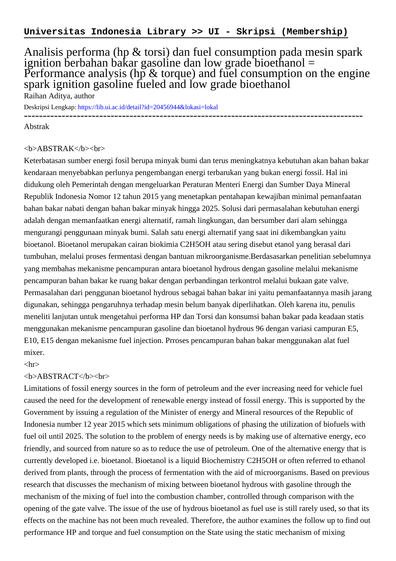## Analisis performa (hp & torsi) dan fuel consumption pada mesin spark ignition berbahan bakar gasoline dan low grade bioethanol  $=$ Performance analysis (hp  $\&$  torque) and fuel consumption on the engine spark ignition gasoline fueled and low grade bioethanol Raihan Aditya, author

Deskripsi Lengkap:<https://lib.ui.ac.id/detail?id=20456944&lokasi=lokal>

------------------------------------------------------------------------------------------

Abstrak

## <b>ABSTRAK</b><br>

Keterbatasan sumber energi fosil berupa minyak bumi dan terus meningkatnya kebutuhan akan bahan bakar kendaraan menyebabkan perlunya pengembangan energi terbarukan yang bukan energi fossil. Hal ini didukung oleh Pemerintah dengan mengeluarkan Peraturan Menteri Energi dan Sumber Daya Mineral Republik Indonesia Nomor 12 tahun 2015 yang menetapkan pentahapan kewajiban minimal pemanfaatan bahan bakar nabati dengan bahan bakar minyak hingga 2025. Solusi dari permasalahan kebutuhan energi adalah dengan memanfaatkan energi alternatif, ramah lingkungan, dan bersumber dari alam sehingga mengurangi penggunaan minyak bumi. Salah satu energi alternatif yang saat ini dikembangkan yaitu bioetanol. Bioetanol merupakan cairan biokimia C2H5OH atau sering disebut etanol yang berasal dari tumbuhan, melalui proses fermentasi dengan bantuan mikroorganisme.Berdasasarkan penelitian sebelumnya yang membahas mekanisme pencampuran antara bioetanol hydrous dengan gasoline melalui mekanisme pencampuran bahan bakar ke ruang bakar dengan perbandingan terkontrol melalui bukaan gate valve. Permasalahan dari penggunan bioetanol hydrous sebagai bahan bakar ini yaitu pemanfaatannya masih jarang digunakan, sehingga pengaruhnya terhadap mesin belum banyak diperlihatkan. Oleh karena itu, penulis meneliti lanjutan untuk mengetahui performa HP dan Torsi dan konsumsi bahan bakar pada keadaan statis menggunakan mekanisme pencampuran gasoline dan bioetanol hydrous 96 dengan variasi campuran E5, E10, E15 dengan mekanisme fuel injection. Prroses pencampuran bahan bakar menggunakan alat fuel mixer.

 $\langle$ hr $>$ 

## <b>ABSTRACT</b><br>

Limitations of fossil energy sources in the form of petroleum and the ever increasing need for vehicle fuel caused the need for the development of renewable energy instead of fossil energy. This is supported by the Government by issuing a regulation of the Minister of energy and Mineral resources of the Republic of Indonesia number 12 year 2015 which sets minimum obligations of phasing the utilization of biofuels with fuel oil until 2025. The solution to the problem of energy needs is by making use of alternative energy, eco friendly, and sourced from nature so as to reduce the use of petroleum. One of the alternative energy that is currently developed i.e. bioetanol. Bioetanol is a liquid Biochemistry C2H5OH or often referred to ethanol derived from plants, through the process of fermentation with the aid of microorganisms. Based on previous research that discusses the mechanism of mixing between bioetanol hydrous with gasoline through the mechanism of the mixing of fuel into the combustion chamber, controlled through comparison with the opening of the gate valve. The issue of the use of hydrous bioetanol as fuel use is still rarely used, so that its effects on the machine has not been much revealed. Therefore, the author examines the follow up to find out performance HP and torque and fuel consumption on the State using the static mechanism of mixing